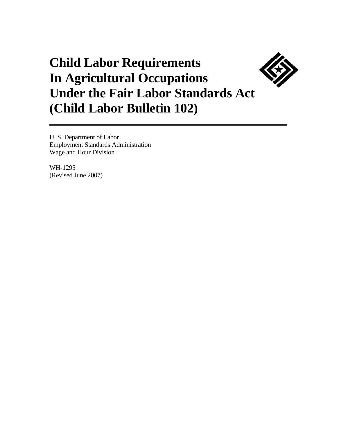# **Child Labor Requirements In Agricultural Occupations Under the Fair Labor Standards Act (Child Labor Bulletin 102)**

U. S. Department of Labor Employment Standards Administration Wage and Hour Division

WH-1295 (Revised June 2007)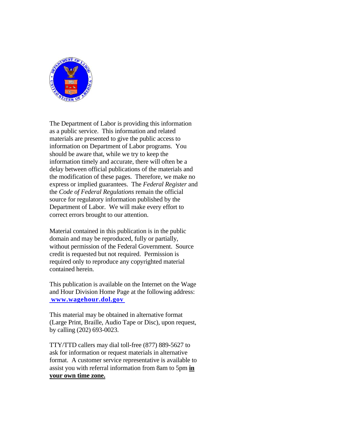

The Department of Labor is providing this information as a public service. This information and related materials are presented to give the public access to information on Department of Labor programs. You should be aware that, while we try to keep the information timely and accurate, there will often be a delay between official publications of the materials and the modification of these pages. Therefore, we make no express or implied guarantees. The *Federal Register* and the *Code of Federal Regulations* remain the official source for regulatory information published by the Department of Labor. We will make every effort to correct errors brought to our attention.

Material contained in this publication is in the public domain and may be reproduced, fully or partially, without permission of the Federal Government. Source credit is requested but not required. Permission is required only to reproduce any copyrighted material contained herein.

This publication is available on the Internet on the Wage and Hour Division Home Page at the following address: **www.wagehour.dol.gov**

This material may be obtained in alternative format (Large Print, Braille, Audio Tape or Disc), upon request, by calling (202) 693-0023.

TTY/TTD callers may dial toll-free (877) 889-5627 to ask for information or request materials in alternative format. A customer service representative is available to assist you with referral information from 8am to 5pm **in your own time zone.**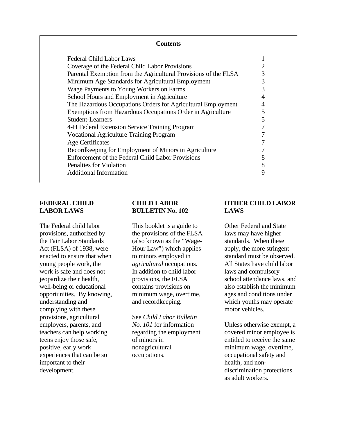| <b>Contents</b>                                                 |   |  |
|-----------------------------------------------------------------|---|--|
| <b>Federal Child Labor Laws</b>                                 |   |  |
| Coverage of the Federal Child Labor Provisions                  |   |  |
| Parental Exemption from the Agricultural Provisions of the FLSA | 3 |  |
| Minimum Age Standards for Agricultural Employment               | 3 |  |
| Wage Payments to Young Workers on Farms                         | 3 |  |
| School Hours and Employment in Agriculture                      |   |  |
| The Hazardous Occupations Orders for Agricultural Employment    |   |  |
| Exemptions from Hazardous Occupations Order in Agriculture      | 5 |  |
| <b>Student-Learners</b>                                         | 5 |  |
| 4-H Federal Extension Service Training Program                  |   |  |
| <b>Vocational Agriculture Training Program</b>                  |   |  |
| <b>Age Certificates</b>                                         |   |  |
| Recordkeeping for Employment of Minors in Agriculture           |   |  |
| Enforcement of the Federal Child Labor Provisions               | 8 |  |
| Penalties for Violation                                         | 8 |  |
| <b>Additional Information</b>                                   | 9 |  |

# **FEDERAL CHILD LABOR LAWS**

The Federal child labor provisions, authorized by the Fair Labor Standards Act (FLSA) of 1938, were enacted to ensure that when young people work, the work is safe and does not jeopardize their health, well-being or educational opportunities. By knowing, minimum wage, overtime, ages and conditions under understanding and complying with these provisions, agricultural employers, parents, and teachers can help working teens enjoy those safe, positive, early work experiences that can be so important to their development.  $\alpha$  discrimination protections

## **CHILD LABOR BULLETIN No. 102**

This booklet is a guide to the provisions of the FLSA (also known as the "Wage-Hour Law") which applies to minors employed in *agricultural* occupations. In addition to child labor provisions, the FLSA contains provisions on and recordkeeping.

See *Child Labor Bulletin No. 101* for information regarding the employment of minors in nonagricultural occupations.

## **OTHER CHILD LABOR LAWS**

Other Federal and State laws may have higher standards. When these apply, the more stringent standard must be observed. All States have child labor laws and compulsory school attendance laws, and also establish the minimum which youths may operate motor vehicles.

Unless otherwise exempt, a covered minor employee is entitled to receive the same minimum wage, overtime, occupational safety and health, and nonas adult workers.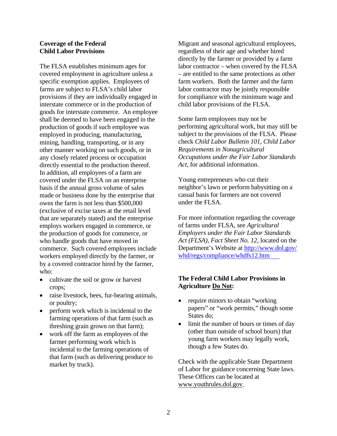#### **Coverage of the Federal Child Labor Provisions**

The FLSA establishes minimum ages for covered employment in agriculture unless a specific exemption applies. Employees of farms are subject to FLSA's child labor provisions if they are individually engaged in interstate commerce or in the production of goods for interstate commerce. An employee shall be deemed to have been engaged in the production of goods if such employee was employed in producing, manufacturing, mining, handling, transporting, or in any other manner working on such goods, or in any closely related process or occupation directly essential to the production thereof. In addition, all employees of a farm are covered under the FLSA on an enterprise basis if the annual gross volume of sales made or business done by the enterprise that owns the farm is not less than \$500,000 (exclusive of excise taxes at the retail level that are separately stated) and the enterprise employs workers engaged in commerce, or the production of goods for commerce, or who handle goods that have moved in commerce. Such covered employees include workers employed directly by the farmer, or by a covered contractor hired by the farmer, who:

- cultivate the soil or grow or harvest crops;
- raise livestock, bees, fur-bearing animals, or poultry;
- perform work which is incidental to the farming operations of that farm (such as threshing grain grown on that farm);
- work off the farm as employees of the farmer performing work which is incidental to the farming operations of that farm (such as delivering produce to market by truck).

Migrant and seasonal agricultural employees, regardless of their age and whether hired directly by the farmer or provided by a farm labor contractor – when covered by the FLSA – are entitled to the same protections as other farm workers. Both the farmer and the farm labor contractor may be jointly responsible for compliance with the minimum wage and child labor provisions of the FLSA.

Some farm employees may not be performing agricultural work, but may still be subject to the provisions of the FLSA. Please check *Child Labor Bulletin 101, Child Labor Requirements in Nonagricultural Occupations under the Fair Labor Standards Act,* for additional information.

Young entrepreneurs who cut their neighbor's lawn or perform babysitting on a casual basis for farmers are not covered under the FLSA.

For more information regarding the coverage of farms under FLSA, see *Agricultural Employers under the Fair Labor Standards Act (FLSA), Fact Sheet No. 12,* located on the Department's Website at http://www.dol.gov/ whd/regs/compliance/whdfs12.htm

## **The Federal Child Labor Provisions in Agriculture Do Not:**

- require minors to obtain "working" papers" or "work permits," though some States do;
- limit the number of hours or times of day (other than outside of school hours) that young farm workers may legally work, though a few States do.

Check with the applicable State Department of Labor for guidance concerning State laws. These Offices can be located at www.youthrules.dol.gov.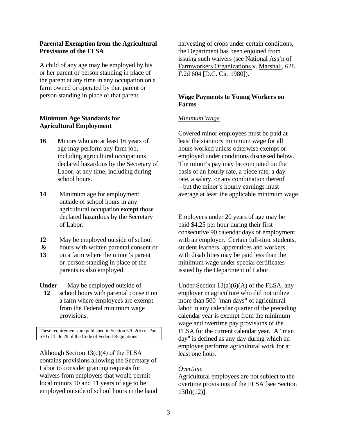#### **Parental Exemption from the Agricultural Provisions of the FLSA**

A child of any age may be employed by his or her parent or person standing in place of the parent at any time in any occupation on a farm owned or operated by that parent or person standing in place of that parent.

## **Minimum Age Standards for Agricultural Employment**

- **16** Minors who are at least 16 years of age may perform any farm job, including agricultural occupations declared hazardous by the Secretary of Labor, at any time, including during school hours.
- **14** Minimum age for employment outside of school hours in any agricultural occupation **except** those declared hazardous by the Secretary of Labor.
- **12** May be employed outside of school
- **&** hours with written parental consent or
- **13** on a farm where the minor's parent or person standing in place of the parents is also employed.

**Under** May be employed outside of

**12** school hours with parental consent on a farm where employees are exempt from the Federal minimum wage provisions.

These requirements are published in Section 570.2(b) of Part 570 of Title 29 of the Code of Federal Regulations

Although Section 13(c)(4) of the FLSA contains provisions allowing the Secretary of Labor to consider granting requests for waivers from employers that would permit local minors 10 and 11 years of age to be employed outside of school hours in the hand harvesting of crops under certain conditions, the Department has been enjoined from issuing such waivers (see National Ass'n of Farmworkers Organizations v. Marshall, 628 F.2d 604 [D.C. Cir. 1980]).

# **Wage Payments to Young Workers on Farms**

#### *Minimum Wage*

Covered minor employees must be paid at least the statutory minimum wage for all hours worked unless otherwise exempt or employed under conditions discussed below. The minor's pay may be computed on the basis of an hourly rate, a piece rate, a day rate, a salary, or any combination thereof – but the minor's hourly earnings must average at least the applicable minimum wage.

Employees under 20 years of age may be paid \$4.25 per hour during their first consecutive 90 calendar days of employment with an employer. Certain full-time students, student learners, apprentices and workers with disabilities may be paid less than the minimum wage under special certificates issued by the Department of Labor.

Under Section  $13(a)(6)(A)$  of the FLSA, any employer in agriculture who did not utilize more than 500 "man days" of agricultural labor in any calendar quarter of the preceding calendar year is exempt from the minimum wage and overtime pay provisions of the FLSA for the current calendar year. A "man day" is defined as any day during which an employee performs agricultural work for at least one hour.

#### *Overtime*

Agricultural employees are not subject to the overtime provisions of the FLSA [see Section 13(b)(12)].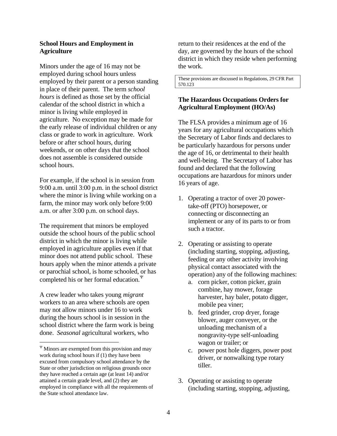#### **School Hours and Employment in Agriculture**

Minors under the age of 16 may not be employed during school hours unless employed by their parent or a person standing in place of their parent. The term *school hours* is defined as those set by the official calendar of the school district in which a minor is living while employed in agriculture. No exception may be made for the early release of individual children or any class or grade to work in agriculture. Work before or after school hours, during weekends, or on other days that the school does not assemble is considered outside school hours.

For example, if the school is in session from 9:00 a.m. until 3:00 p.m. in the school district where the minor is living while working on a farm, the minor may work only before 9:00 a.m. or after 3:00 p.m. on school days.

The requirement that minors be employed outside the school hours of the public school district in which the minor is living while employed in agriculture applies even if that minor does not attend public school. These hours apply when the minor attends a private or parochial school, is home schooled, or has completed his or her formal education.<sup>Ψ</sup>

A crew leader who takes young *migrant*  workers to an area where schools are open may not allow minors under 16 to work during the hours school is in session in the school district where the farm work is being done. *Seasonal* agricultural workers, who

return to their residences at the end of the day, are governed by the hours of the school district in which they reside when performing the work.

These provisions are discussed in Regulations, 29 CFR Part 570.123

# **The Hazardous Occupations Orders for Agricultural Employment (HO/As)**

The FLSA provides a minimum age of 16 years for any agricultural occupations which the Secretary of Labor finds and declares to be particularly hazardous for persons under the age of 16, or detrimental to their health and well-being. The Secretary of Labor has found and declared that the following occupations are hazardous for minors under 16 years of age.

- 1. Operating a tractor of over 20 powertake-off (PTO) horsepower, or connecting or disconnecting an implement or any of its parts to or from such a tractor.
- 2. Operating or assisting to operate (including starting, stopping, adjusting, feeding or any other activity involving physical contact associated with the operation) any of the following machines:
	- a. corn picker, cotton picker, grain combine, hay mower, forage harvester, hay baler, potato digger, mobile pea viner;
	- b. feed grinder, crop dryer, forage blower, auger conveyer, or the unloading mechanism of a nongravity-type self-unloading wagon or trailer; or
	- c. power post hole diggers, power post driver, or nonwalking type rotary tiller.
- 3. Operating or assisting to operate (including starting, stopping, adjusting,

<sup>Ψ</sup> Minors are exempted from this provision and may work during school hours if (1) they have been excused from compulsory school attendance by the State or other jurisdiction on religious grounds once they have reached a certain age (at least 14) and/or attained a certain grade level, and (2) they are employed in compliance with all the requirements of the State school attendance law.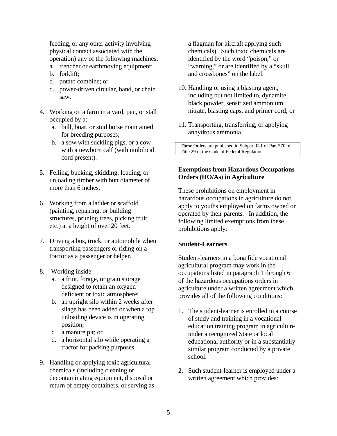feeding, or any other activity involving physical contact associated with the operation) any of the following machines:

- a. trencher or earthmoving equipment;
- b. forklift;
- c. potato combine; or
- d. power-driven circular, band, or chain saw.
- 4. Working on a farm in a yard, pen, or stall occupied by a:
	- a. bull, boar, or stud horse maintained for breeding purposes;
	- b. a sow with suckling pigs, or a cow with a newborn calf (with umbilical cord present).
- 5. Felling, bucking, skidding, loading, or unloading timber with butt diameter of more than 6 inches.
- 6. Working from a ladder or scaffold (painting, repairing, or building structures, pruning trees, picking fruit, etc.) at a height of over 20 feet.
- 7. Driving a bus, truck, or automobile when transporting passengers or riding on a tractor as a passenger or helper.
- 8. Working inside:
	- a. a fruit, forage, or grain storage designed to retain an oxygen deficient or toxic atmosphere;
	- b. an upright silo within 2 weeks after silage has been added or when a top unloading device is in operating position;
	- c. a manure pit; or
	- d. a horizontal silo while operating a tractor for packing purposes.
- 9. Handling or applying toxic agricultural chemicals (including cleaning or decontaminating equipment, disposal or return of empty containers, or serving as

a flagman for aircraft applying such chemicals). Such toxic chemicals are identified by the word "poison," or "warning," or are identified by a "skull and crossbones" on the label.

- 10. Handling or using a blasting agent, including but not limited to, dynamite, black powder, sensitized ammonium nitrate, blasting caps, and primer cord; or
- 11. Transporting, transferring, or applying anhydrous ammonia.

 These Orders are published in Subpart E-1 of Part 570 of Title 29 of the Code of Federal Regulations.

#### **Exemptions from Hazardous Occupations Orders (HO/As) in Agriculture**

These prohibitions on employment in hazardous occupations in agriculture do not apply to youths employed on farms owned or operated by their parents. In addition, the following limited exemptions from these prohibitions apply:

#### **Student-Learners**

Student-learners in a bona fide vocational agricultural program may work in the occupations listed in paragraph 1 through 6 of the hazardous occupations orders in agriculture under a written agreement which provides all of the following conditions:

- 1. The student-learner is enrolled in a course of study and training in a vocational education training program in agriculture under a recognized State or local educational authority or in a substantially similar program conducted by a private school.
- 2. Such student-learner is employed under a written agreement which provides: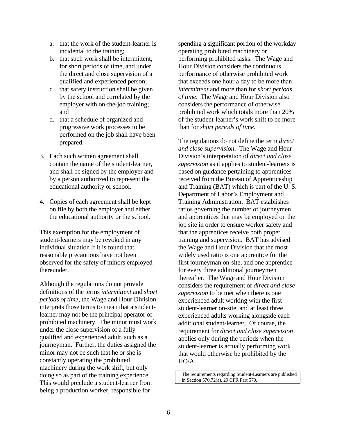- a. that the work of the student-learner is incidental to the training;
- b. that such work shall be intermittent, for short periods of time, and under the direct and close supervision of a qualified and experienced person;
- c. that safety instruction shall be given by the school and correlated by the employer with on-the-job training; and
- d. that a schedule of organized and progressive work processes to be performed on the job shall have been prepared.
- 3. Each such written agreement shall contain the name of the student-learner, and shall be signed by the employer and by a person authorized to represent the educational authority or school.
- 4. Copies of each agreement shall be kept on file by both the employer and either the educational authority or the school.

This exemption for the employment of student-learners may be revoked in any individual situation if it is found that reasonable precautions have not been observed for the safety of minors employed thereunder.

Although the regulations do not provide definitions of the terms *intermittent* and *short periods of time*, the Wage and Hour Division interprets those terms to mean that a studentlearner may not be the principal operator of prohibited machinery. The minor must work under the close supervision of a fully qualified and experienced adult, such as a journeyman. Further, the duties assigned the minor may not be such that he or she is constantly operating the prohibited machinery during the work shift, but only doing so as part of the training experience. This would preclude a student-learner from being a production worker, responsible for

spending a significant portion of the workday operating prohibited machinery or performing prohibited tasks. The Wage and Hour Division considers the continuous performance of otherwise prohibited work that exceeds one hour a day to be more than *intermittent* and more than for *short periods of time*. The Wage and Hour Division also considers the performance of otherwise prohibited work which totals more than 20% of the student-learner's work shift to be more than for *short periods of time*.

The regulations do not define the term *direct and close supervision*. The Wage and Hour Division's interpretation of *direct and close supervision* as it applies to student-learners is based on guidance pertaining to apprentices received from the Bureau of Apprenticeship and Training (BAT) which is part of the U. S. Department of Labor's Employment and Training Administration. BAT establishes ratios governing the number of journeymen and apprentices that may be employed on the job site in order to ensure worker safety and that the apprentices receive both proper training and supervision. BAT has advised the Wage and Hour Division that the most widely used ratio is one apprentice for the first journeyman on-site, and one apprentice for every three additional journeymen thereafter. The Wage and Hour Division considers the requirement of *direct and close supervision* to be met when there is one experienced adult working with the first student-learner on-site, and at least three experienced adults working alongside each additional student-learner. Of course, the requirement for *direct and close supervision*  applies only during the periods when the student-learner is actually performing work that would otherwise be prohibited by the HO/A.

The requirements regarding Student-Learners are published in Section 570.72(a), 29 CFR Part 570.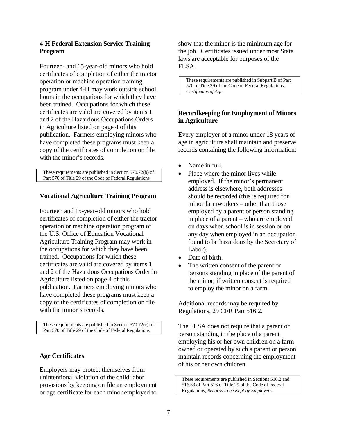#### **4-H Federal Extension Service Training Program**

Fourteen- and 15-year-old minors who hold certificates of completion of either the tractor operation or machine operation training program under 4-H may work outside school hours in the occupations for which they have been trained. Occupations for which these certificates are valid are covered by items 1 and 2 of the Hazardous Occupations Orders in Agriculture listed on page 4 of this publication. Farmers employing minors who have completed these programs must keep a copy of the certificates of completion on file with the minor's records.

 These requirements are published in Section 570.72(b) of Part 570 of Title 29 of the Code of Federal Regulations.

#### **Vocational Agriculture Training Program**

Fourteen and 15-year-old minors who hold certificates of completion of either the tractor operation or machine operation program of the U.S. Office of Education Vocational Agriculture Training Program may work in the occupations for which they have been trained. Occupations for which these certificates are valid are covered by items 1 and 2 of the Hazardous Occupations Order in Agriculture listed on page 4 of this publication. Farmers employing minors who have completed these programs must keep a copy of the certificates of completion on file with the minor's records.

 These requirements are published in Section 570.72(c) of Part 570 of Title 29 of the Code of Federal Regulations,

#### **Age Certificates**

Employers may protect themselves from unintentional violation of the child labor provisions by keeping on file an employment or age certificate for each minor employed to

show that the minor is the minimum age for the job. Certificates issued under most State laws are acceptable for purposes of the FLSA.

These requirements are published in Subpart B of Part 570 of Title 29 of the Code of Federal Regulations, *Certificates of Age*.

## **Recordkeeping for Employment of Minors in Agriculture**

Every employer of a minor under 18 years of age in agriculture shall maintain and preserve records containing the following information:

- Name in full.
- Place where the minor lives while employed. If the minor's permanent address is elsewhere, both addresses should be recorded (this is required for minor farmworkers – other than those employed by a parent or person standing in place of a parent – who are employed on days when school is in session or on any day when employed in an occupation found to be hazardous by the Secretary of Labor).
- Date of birth.
- The written consent of the parent or persons standing in place of the parent of the minor, if written consent is required to employ the minor on a farm.

Additional records may be required by Regulations, 29 CFR Part 516.2.

The FLSA does not require that a parent or person standing in the place of a parent employing his or her own children on a farm owned or operated by such a parent or person maintain records concerning the employment of his or her own children.

 These requirements are published in Sections 516.2 and 516.33 of Part 516 of Title 29 of the Code of Federal Regulations, *Records to be Kept by Employers*.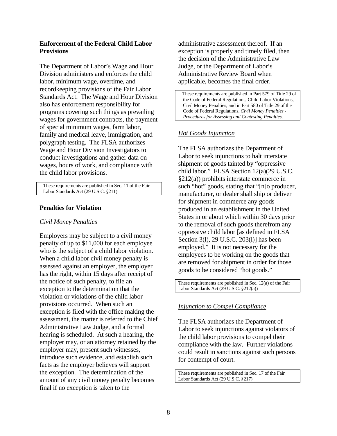#### **Enforcement of the Federal Child Labor Provisions**

The Department of Labor's Wage and Hour Division administers and enforces the child labor, minimum wage, overtime, and recordkeeping provisions of the Fair Labor Standards Act. The Wage and Hour Division also has enforcement responsibility for programs covering such things as prevailing wages for government contracts, the payment of special minimum wages, farm labor, family and medical leave, immigration, and polygraph testing. The FLSA authorizes Wage and Hour Division Investigators to conduct investigations and gather data on wages, hours of work, and compliance with the child labor provisions.

 These requirements are published in Sec. 11 of the Fair Labor Standards Act (29 U.S.C. §211)

#### **Penalties for Violation**

#### *Civil Money Penalties*

Employers may be subject to a civil money penalty of up to \$11,000 for each employee who is the subject of a child labor violation. When a child labor civil money penalty is assessed against an employer, the employer has the right, within 15 days after receipt of the notice of such penalty, to file an exception to the determination that the violation or violations of the child labor provisions occurred. When such an exception is filed with the office making the assessment, the matter is referred to the Chief Administrative Law Judge, and a formal hearing is scheduled. At such a hearing, the employer may, or an attorney retained by the employer may, present such witnesses, introduce such evidence, and establish such facts as the employer believes will support the exception. The determination of the amount of any civil money penalty becomes final if no exception is taken to the

administrative assessment thereof. If an exception is properly and timely filed, then the decision of the Administrative Law Judge, or the Department of Labor's Administrative Review Board when applicable, becomes the final order.

These requirements are published in Part 579 of Title 29 of the Code of Federal Regulations, Child Labor Violations, Civil Money Penalties; and in Part 580 of Title 29 of the Code of Federal Regulations, *Civil Money Penalties - Procedures for Assessing and Contesting Penalties*.

## *Hot Goods Injunction*

The FLSA authorizes the Department of Labor to seek injunctions to halt interstate shipment of goods tainted by "oppressive child labor." FLSA Section 12(a)(29 U.S.C. §212(a)) prohibits interstate commerce in such "hot" goods, stating that "[n]o producer, manufacturer, or dealer shall ship or deliver for shipment in commerce any goods produced in an establishment in the United States in or about which within 30 days prior to the removal of such goods therefrom any oppressive child labor [as defined in FLSA Section 3(l), 29 U.S.C. 203(l)] has been employed." It is not necessary for the employees to be working on the goods that are removed for shipment in order for those goods to be considered "hot goods."

These requirements are published in Sec. 12(a) of the Fair Labor Standards Act (29 U.S.C. §212(a))

#### *Injunction to Compel Compliance*

The FLSA authorizes the Department of Labor to seek injunctions against violators of the child labor provisions to compel their compliance with the law. Further violations could result in sanctions against such persons for contempt of court.

These requirements are published in Sec. 17 of the Fair Labor Standards Act (29 U.S.C. §217)